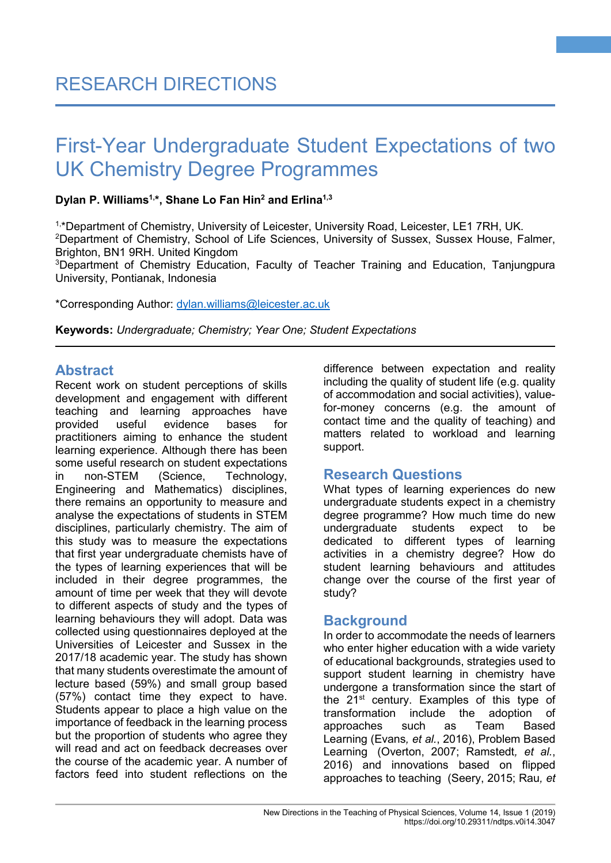### **Dylan P. Williams1, \*, Shane Lo Fan Hin2 and Erlina1,3**

1,\*Department of Chemistry, University of Leicester, University Road, Leicester, LE1 7RH, UK. 2 Department of Chemistry, School of Life Sciences, University of Sussex, Sussex House, Falmer, Brighton, BN1 9RH. United Kingdom

3 Department of Chemistry Education, Faculty of Teacher Training and Education, Tanjungpura University, Pontianak, Indonesia

\*Corresponding Author: [dylan.williams@leicester.ac.uk](mailto:dylan.williams@leicester.ac.uk)

**Keywords:** *Undergraduate; Chemistry; Year One; Student Expectations*

# **Abstract**

Recent work on student perceptions of skills development and engagement with different teaching and learning approaches have<br>provided useful evidence bases for evidence bases for practitioners aiming to enhance the student learning experience. Although there has been some useful research on student expectations in non-STEM (Science, Technology, Engineering and Mathematics) disciplines, there remains an opportunity to measure and analyse the expectations of students in STEM disciplines, particularly chemistry. The aim of this study was to measure the expectations that first year undergraduate chemists have of the types of learning experiences that will be included in their degree programmes, the amount of time per week that they will devote to different aspects of study and the types of learning behaviours they will adopt. Data was collected using questionnaires deployed at the Universities of Leicester and Sussex in the 2017/18 academic year. The study has shown that many students overestimate the amount of lecture based (59%) and small group based (57%) contact time they expect to have. Students appear to place a high value on the importance of feedback in the learning process but the proportion of students who agree they will read and act on feedback decreases over the course of the academic year. A number of factors feed into student reflections on the

difference between expectation and reality including the quality of student life (e.g. quality of accommodation and social activities), valuefor-money concerns (e.g. the amount of contact time and the quality of teaching) and matters related to workload and learning support.

**1**

# **Research Questions**

What types of learning experiences do new undergraduate students expect in a chemistry degree programme? How much time do new undergraduate students expect to be dedicated to different types of learning activities in a chemistry degree? How do student learning behaviours and attitudes change over the course of the first year of study?

# **Background**

In order to accommodate the needs of learners who enter higher education with a wide variety of educational backgrounds, strategies used to support student learning in chemistry have undergone a transformation since the start of the 21<sup>st</sup> century. Examples of this type of transformation include the adoption of approaches such as Team Based Learning (Evans*, et al.*, 2016), Problem Based Learning (Overton, 2007; Ramstedt*, et al.*, 2016) and innovations based on flipped approaches to teaching (Seery, 2015; Rau*, et*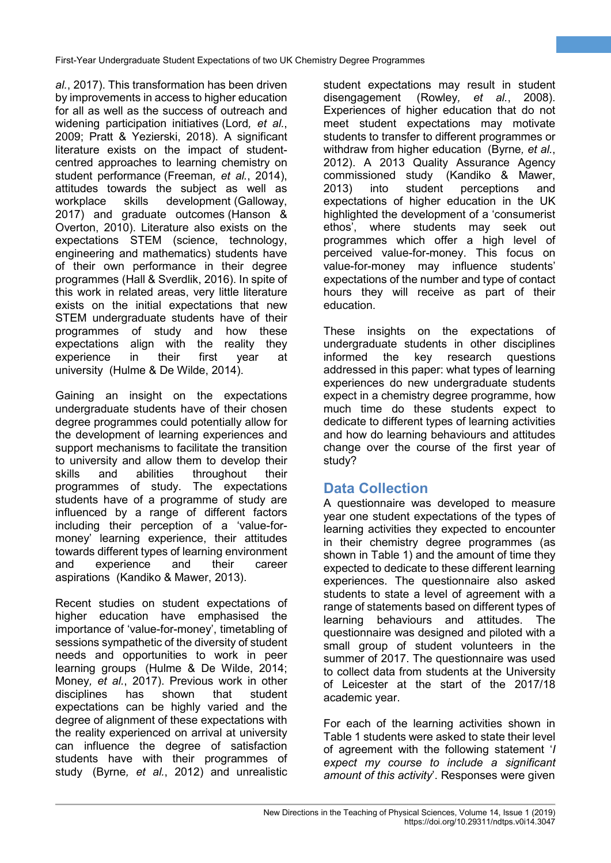*al.*, 2017). This transformation has been driven by improvements in access to higher education for all as well as the success of outreach and widening participation initiatives (Lord*, et al.*, 2009; Pratt & Yezierski, 2018). A significant literature exists on the impact of studentcentred approaches to learning chemistry on student performance (Freeman*, et al.*, 2014), attitudes towards the subject as well as workplace skills development (Galloway, 2017) and graduate outcomes (Hanson & Overton, 2010). Literature also exists on the expectations STEM (science, technology, engineering and mathematics) students have of their own performance in their degree programmes (Hall & Sverdlik, 2016). In spite of this work in related areas, very little literature exists on the initial expectations that new STEM undergraduate students have of their programmes of study and how these expectations align with the reality they experience in their first year at university (Hulme & De Wilde, 2014).

Gaining an insight on the expectations undergraduate students have of their chosen degree programmes could potentially allow for the development of learning experiences and support mechanisms to facilitate the transition to university and allow them to develop their skills and abilities throughout their programmes of study. The expectations students have of a programme of study are influenced by a range of different factors including their perception of a 'value-formoney' learning experience, their attitudes towards different types of learning environment and experience and their career aspirations (Kandiko & Mawer, 2013).

Recent studies on student expectations of higher education have emphasised the importance of 'value-for-money', timetabling of sessions sympathetic of the diversity of student needs and opportunities to work in peer learning groups (Hulme & De Wilde, 2014; Money*, et al.*, 2017). Previous work in other disciplines has shown that student expectations can be highly varied and the degree of alignment of these expectations with the reality experienced on arrival at university can influence the degree of satisfaction students have with their programmes of study (Byrne*, et al.*, 2012) and unrealistic

student expectations may result in student disengagement (Rowley*, et al.*, 2008). Experiences of higher education that do not meet student expectations may motivate students to transfer to different programmes or withdraw from higher education (Byrne*, et al.*, 2012). A 2013 Quality Assurance Agency commissioned study (Kandiko & Mawer, perceptions and expectations of higher education in the UK highlighted the development of a 'consumerist ethos', where students may seek out programmes which offer a high level of perceived value-for-money. This focus on value-for-money may influence students' expectations of the number and type of contact hours they will receive as part of their education.

**2**

These insights on the expectations of undergraduate students in other disciplines informed the key research questions addressed in this paper: what types of learning experiences do new undergraduate students expect in a chemistry degree programme, how much time do these students expect to dedicate to different types of learning activities and how do learning behaviours and attitudes change over the course of the first year of study?

# **Data Collection**

A questionnaire was developed to measure year one student expectations of the types of learning activities they expected to encounter in their chemistry degree programmes (as shown in Table 1) and the amount of time they expected to dedicate to these different learning experiences. The questionnaire also asked students to state a level of agreement with a range of statements based on different types of learning behaviours and attitudes. The questionnaire was designed and piloted with a small group of student volunteers in the summer of 2017. The questionnaire was used to collect data from students at the University of Leicester at the start of the 2017/18 academic year.

For each of the learning activities shown in Table 1 students were asked to state their level of agreement with the following statement '*I expect my course to include a significant amount of this activity*'. Responses were given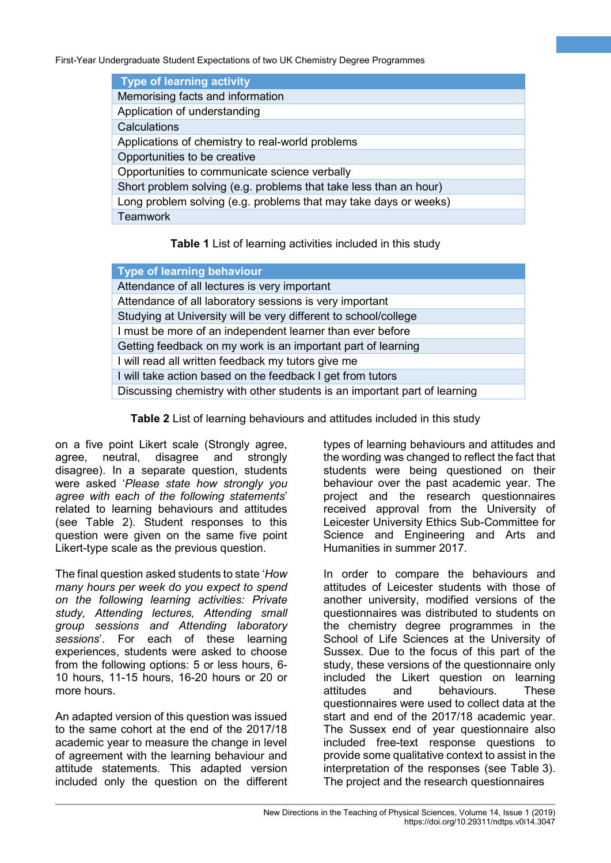| <b>Type of learning activity</b>                                  |
|-------------------------------------------------------------------|
| Memorising facts and information                                  |
| Application of understanding                                      |
| Calculations                                                      |
| Applications of chemistry to real-world problems                  |
| Opportunities to be creative                                      |
| Opportunities to communicate science verbally                     |
| Short problem solving (e.g. problems that take less than an hour) |
| Long problem solving (e.g. problems that may take days or weeks)  |
| <b>Teamwork</b>                                                   |

**Table 1** List of learning activities included in this study

| <b>Type of learning behaviour</b>                                         |
|---------------------------------------------------------------------------|
| Attendance of all lectures is very important                              |
| Attendance of all laboratory sessions is very important                   |
| Studying at University will be very different to school/college           |
| I must be more of an independent learner than ever before                 |
| Getting feedback on my work is an important part of learning              |
| I will read all written feedback my tutors give me                        |
| I will take action based on the feedback I get from tutors                |
| Discussing chemistry with other students is an important part of learning |

**Table 2** List of learning behaviours and attitudes included in this study

on a five point Likert scale (Strongly agree, agree, neutral, disagree and strongly disagree). In a separate question, students were asked '*Please state how strongly you agree with each of the following statements*' related to learning behaviours and attitudes (see Table 2). Student responses to this question were given on the same five point Likert-type scale as the previous question.

The final question asked students to state '*How many hours per week do you expect to spend on the following learning activities: Private study, Attending lectures, Attending small group sessions and Attending laboratory sessions*'. For each of these learning experiences, students were asked to choose from the following options: 5 or less hours, 6- 10 hours, 11-15 hours, 16-20 hours or 20 or more hours.

An adapted version of this question was issued to the same cohort at the end of the 2017/18 academic year to measure the change in level of agreement with the learning behaviour and attitude statements. This adapted version included only the question on the different types of learning behaviours and attitudes and the wording was changed to reflect the fact that students were being questioned on their behaviour over the past academic year. The project and the research questionnaires received approval from the University of Leicester University Ethics Sub-Committee for Science and Engineering and Arts and Humanities in summer 2017.

**3**

In order to compare the behaviours and attitudes of Leicester students with those of another university, modified versions of the questionnaires was distributed to students on the chemistry degree programmes in the School of Life Sciences at the University of Sussex. Due to the focus of this part of the study, these versions of the questionnaire only included the Likert question on learning attitudes and behaviours. These questionnaires were used to collect data at the start and end of the 2017/18 academic year. The Sussex end of year questionnaire also included free-text response questions to provide some qualitative context to assist in the interpretation of the responses (see Table 3). The project and the research questionnaires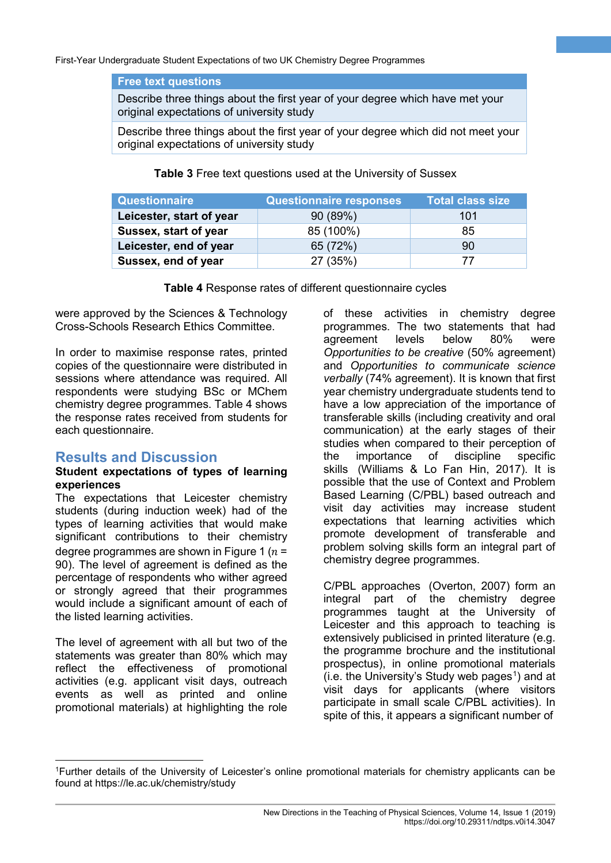#### **Free text questions**

Describe three things about the first year of your degree which have met your original expectations of university study

Describe three things about the first year of your degree which did not meet your original expectations of university study

**Table 3** Free text questions used at the University of Sussex

| Questionnaire            | <b>Questionnaire responses</b> | <b>Total class size</b> |
|--------------------------|--------------------------------|-------------------------|
| Leicester, start of year | 90(89%)                        | 101                     |
| Sussex, start of year    | 85 (100%)                      | 85                      |
| Leicester, end of year   | 65 (72%)                       | 90                      |
| Sussex, end of year      | 27 (35%)                       | 77                      |

**Table 4** Response rates of different questionnaire cycles

were approved by the Sciences & Technology Cross-Schools Research Ethics Committee.

In order to maximise response rates, printed copies of the questionnaire were distributed in sessions where attendance was required. All respondents were studying BSc or MChem chemistry degree programmes. Table 4 shows the response rates received from students for each questionnaire.

# **Results and Discussion**

#### **Student expectations of types of learning experiences**

The expectations that Leicester chemistry students (during induction week) had of the types of learning activities that would make significant contributions to their chemistry degree programmes are shown in Figure 1 ( $n =$ 90). The level of agreement is defined as the percentage of respondents who wither agreed or strongly agreed that their programmes would include a significant amount of each of the listed learning activities.

The level of agreement with all but two of the statements was greater than 80% which may reflect the effectiveness of promotional activities (e.g. applicant visit days, outreach events as well as printed and online promotional materials) at highlighting the role

of these activities in chemistry degree programmes. The two statements that had agreement levels below 80% were *Opportunities to be creative* (50% agreement) and *Opportunities to communicate science verbally* (74% agreement). It is known that first year chemistry undergraduate students tend to have a low appreciation of the importance of transferable skills (including creativity and oral communication) at the early stages of their studies when compared to their perception of the importance of discipline specific skills (Williams & Lo Fan Hin, 2017). It is possible that the use of Context and Problem Based Learning (C/PBL) based outreach and visit day activities may increase student expectations that learning activities which promote development of transferable and problem solving skills form an integral part of chemistry degree programmes.

**4**

C/PBL approaches (Overton, 2007) form an integral part of the chemistry degree programmes taught at the University of Leicester and this approach to teaching is extensively publicised in printed literature (e.g. the programme brochure and the institutional prospectus), in online promotional materials  $(i.e.$  the University's Study web pages<sup>[1](#page-3-0)</sup>) and at visit days for applicants (where visitors participate in small scale C/PBL activities). In spite of this, it appears a significant number of

<span id="page-3-0"></span> <sup>1</sup>Further details of the University of Leicester's online promotional materials for chemistry applicants can be found at https://le.ac.uk/chemistry/study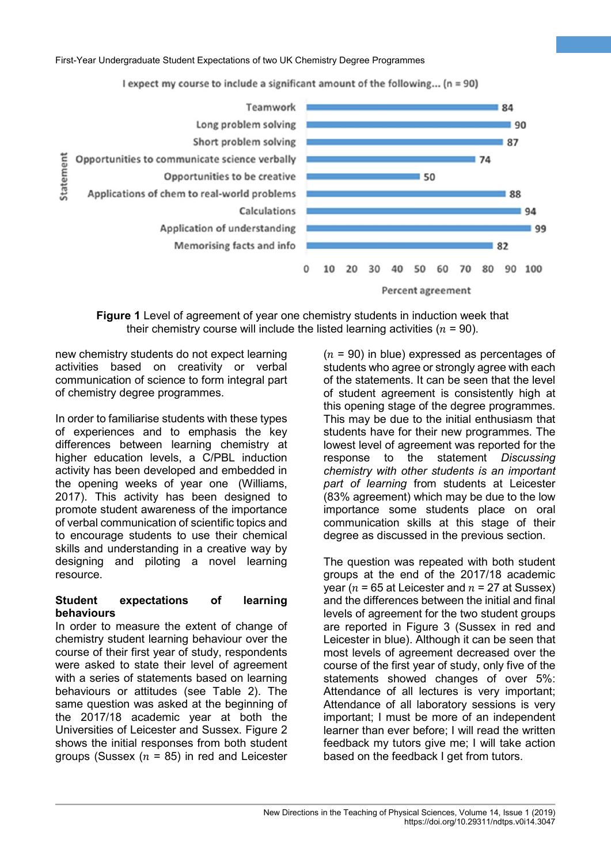I expect my course to include a significant amount of the following... (n = 90)



**Figure 1** Level of agreement of year one chemistry students in induction week that their chemistry course will include the listed learning activities ( $n = 90$ ).

new chemistry students do not expect learning activities based on creativity or verbal communication of science to form integral part of chemistry degree programmes.

In order to familiarise students with these types of experiences and to emphasis the key differences between learning chemistry at higher education levels, a C/PBL induction activity has been developed and embedded in the opening weeks of year one (Williams, 2017). This activity has been designed to promote student awareness of the importance of verbal communication of scientific topics and to encourage students to use their chemical skills and understanding in a creative way by designing and piloting a novel learning resource.

#### **Student expectations of learning behaviours**

In order to measure the extent of change of chemistry student learning behaviour over the course of their first year of study, respondents were asked to state their level of agreement with a series of statements based on learning behaviours or attitudes (see Table 2). The same question was asked at the beginning of the 2017/18 academic year at both the Universities of Leicester and Sussex. Figure 2 shows the initial responses from both student groups (Sussex  $(n = 85)$  in red and Leicester

 $(n = 90)$  in blue) expressed as percentages of students who agree or strongly agree with each of the statements. It can be seen that the level of student agreement is consistently high at this opening stage of the degree programmes. This may be due to the initial enthusiasm that students have for their new programmes. The lowest level of agreement was reported for the response to the statement *Discussing chemistry with other students is an important part of learning* from students at Leicester (83% agreement) which may be due to the low importance some students place on oral communication skills at this stage of their degree as discussed in the previous section.

**5**

The question was repeated with both student groups at the end of the 2017/18 academic year ( $n = 65$  at Leicester and  $n = 27$  at Sussex) and the differences between the initial and final levels of agreement for the two student groups are reported in Figure 3 (Sussex in red and Leicester in blue). Although it can be seen that most levels of agreement decreased over the course of the first year of study, only five of the statements showed changes of over 5%: Attendance of all lectures is very important; Attendance of all laboratory sessions is very important; I must be more of an independent learner than ever before; I will read the written feedback my tutors give me; I will take action based on the feedback I get from tutors.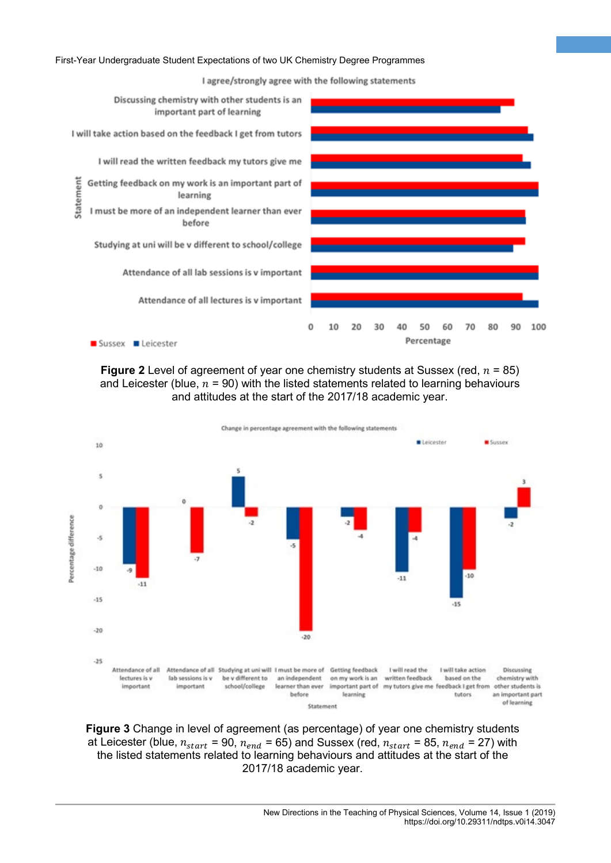I agree/strongly agree with the following statements

**6**



**Figure 2** Level of agreement of year one chemistry students at Sussex (red,  $n = 85$ ) and Leicester (blue,  $n = 90$ ) with the listed statements related to learning behaviours and attitudes at the start of the 2017/18 academic year.



**Figure 3** Change in level of agreement (as percentage) of year one chemistry students at Leicester (blue,  $n_{start}$  = 90,  $n_{end}$  = 65) and Sussex (red,  $n_{start}$  = 85,  $n_{end}$  = 27) with the listed statements related to learning behaviours and attitudes at the start of the 2017/18 academic year.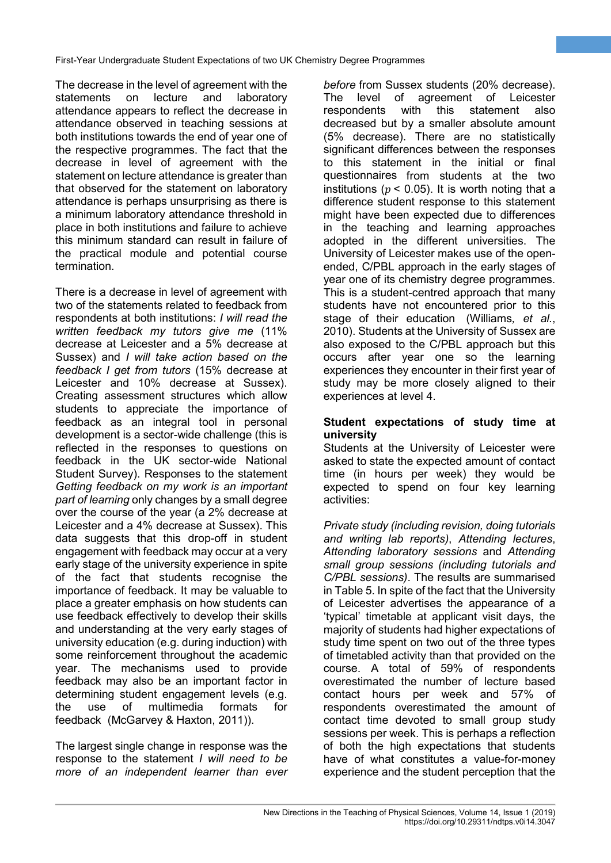The decrease in the level of agreement with the statements on lecture and laboratory attendance appears to reflect the decrease in attendance observed in teaching sessions at both institutions towards the end of year one of the respective programmes. The fact that the decrease in level of agreement with the statement on lecture attendance is greater than that observed for the statement on laboratory attendance is perhaps unsurprising as there is a minimum laboratory attendance threshold in place in both institutions and failure to achieve this minimum standard can result in failure of the practical module and potential course termination.

There is a decrease in level of agreement with two of the statements related to feedback from respondents at both institutions: *I will read the written feedback my tutors give me* (11% decrease at Leicester and a 5% decrease at Sussex) and *I will take action based on the feedback I get from tutors* (15% decrease at Leicester and 10% decrease at Sussex). Creating assessment structures which allow students to appreciate the importance of feedback as an integral tool in personal development is a sector-wide challenge (this is reflected in the responses to questions on feedback in the UK sector-wide National Student Survey). Responses to the statement *Getting feedback on my work is an important part of learning* only changes by a small degree over the course of the year (a 2% decrease at Leicester and a 4% decrease at Sussex). This data suggests that this drop-off in student engagement with feedback may occur at a very early stage of the university experience in spite of the fact that students recognise the importance of feedback. It may be valuable to place a greater emphasis on how students can use feedback effectively to develop their skills and understanding at the very early stages of university education (e.g. during induction) with some reinforcement throughout the academic year. The mechanisms used to provide feedback may also be an important factor in determining student engagement levels (e.g. the use of multimedia formats for feedback (McGarvey & Haxton, 2011)).

The largest single change in response was the response to the statement *I will need to be more of an independent learner than ever* 

*before* from Sussex students (20% decrease). The level of agreement of Leicester respondents with this statement also decreased but by a smaller absolute amount (5% decrease). There are no statistically significant differences between the responses to this statement in the initial or final questionnaires from students at the two institutions ( $p < 0.05$ ). It is worth noting that a difference student response to this statement might have been expected due to differences in the teaching and learning approaches adopted in the different universities. The University of Leicester makes use of the openended, C/PBL approach in the early stages of year one of its chemistry degree programmes. This is a student-centred approach that many students have not encountered prior to this stage of their education (Williams*, et al.*, 2010). Students at the University of Sussex are also exposed to the C/PBL approach but this occurs after year one so the learning experiences they encounter in their first year of study may be more closely aligned to their experiences at level 4.

**7**

#### **Student expectations of study time at university**

Students at the University of Leicester were asked to state the expected amount of contact time (in hours per week) they would be expected to spend on four key learning activities:

*Private study (including revision, doing tutorials and writing lab reports)*, *Attending lectures*, *Attending laboratory sessions* and *Attending small group sessions (including tutorials and C/PBL sessions)*. The results are summarised in Table 5. In spite of the fact that the University of Leicester advertises the appearance of a 'typical' timetable at applicant visit days, the majority of students had higher expectations of study time spent on two out of the three types of timetabled activity than that provided on the course. A total of 59% of respondents overestimated the number of lecture based contact hours per week and 57% of respondents overestimated the amount of contact time devoted to small group study sessions per week. This is perhaps a reflection of both the high expectations that students have of what constitutes a value-for-money experience and the student perception that the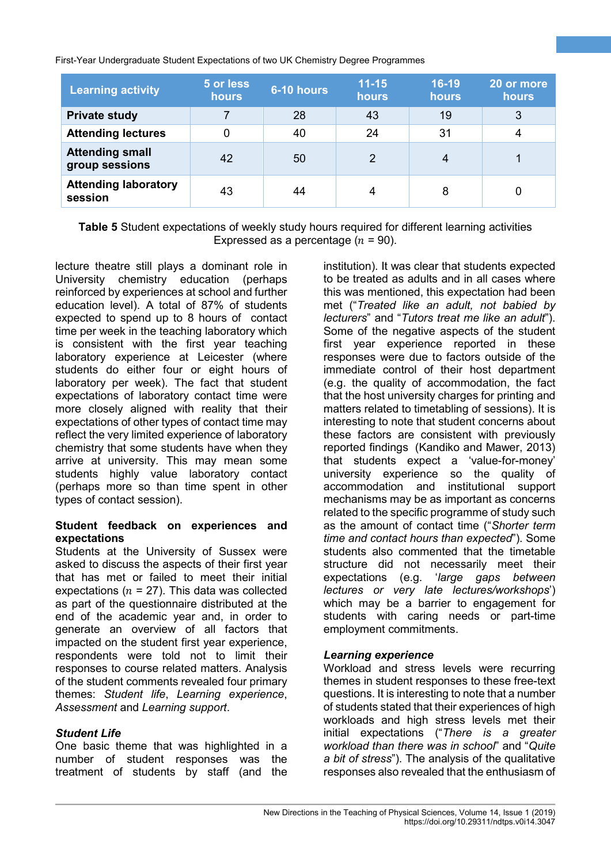| <b>Learning activity</b>                 | 5 or less<br>hours | $6-10$ hours | $11 - 15$<br>hours | $16-19$<br><b>hours</b> | 20 or more<br><b>hours</b> |
|------------------------------------------|--------------------|--------------|--------------------|-------------------------|----------------------------|
| <b>Private study</b>                     |                    | 28           | 43                 | 19                      | 3                          |
| <b>Attending lectures</b>                | 0                  | 40           | 24                 | 31                      |                            |
| <b>Attending small</b><br>group sessions | 42                 | 50           | 2                  | 4                       |                            |
| <b>Attending laboratory</b><br>session   | 43                 | 44           | 4                  | 8                       |                            |

**Table 5** Student expectations of weekly study hours required for different learning activities Expressed as a percentage  $(n = 90)$ .

lecture theatre still plays a dominant role in University chemistry education (perhaps reinforced by experiences at school and further education level). A total of 87% of students expected to spend up to 8 hours of contact time per week in the teaching laboratory which is consistent with the first year teaching laboratory experience at Leicester (where students do either four or eight hours of laboratory per week). The fact that student expectations of laboratory contact time were more closely aligned with reality that their expectations of other types of contact time may reflect the very limited experience of laboratory chemistry that some students have when they arrive at university. This may mean some students highly value laboratory contact (perhaps more so than time spent in other types of contact session).

#### **Student feedback on experiences and expectations**

Students at the University of Sussex were asked to discuss the aspects of their first year that has met or failed to meet their initial expectations ( $n = 27$ ). This data was collected as part of the questionnaire distributed at the end of the academic year and, in order to generate an overview of all factors that impacted on the student first year experience, respondents were told not to limit their responses to course related matters. Analysis of the student comments revealed four primary themes: *Student life*, *Learning experience*, *Assessment* and *Learning support*.

#### *Student Life*

One basic theme that was highlighted in a number of student responses was the treatment of students by staff (and the

institution). It was clear that students expected to be treated as adults and in all cases where this was mentioned, this expectation had been met ("*Treated like an adult, not babied by lecturers*" and "*Tutors treat me like an adult*"). Some of the negative aspects of the student first year experience reported in these responses were due to factors outside of the immediate control of their host department (e.g. the quality of accommodation, the fact that the host university charges for printing and matters related to timetabling of sessions). It is interesting to note that student concerns about these factors are consistent with previously reported findings (Kandiko and Mawer, 2013) that students expect a 'value-for-money' university experience so the quality of accommodation and institutional support mechanisms may be as important as concerns related to the specific programme of study such as the amount of contact time ("*Shorter term time and contact hours than expected*"). Some students also commented that the timetable structure did not necessarily meet their expectations (e.g. '*large gaps between lectures or very late lectures/workshops*') which may be a barrier to engagement for students with caring needs or part-time employment commitments.

**8**

#### *Learning experience*

Workload and stress levels were recurring themes in student responses to these free-text questions. It is interesting to note that a number of students stated that their experiences of high workloads and high stress levels met their initial expectations ("*There is a greater workload than there was in school*" and "*Quite a bit of stress*"). The analysis of the qualitative responses also revealed that the enthusiasm of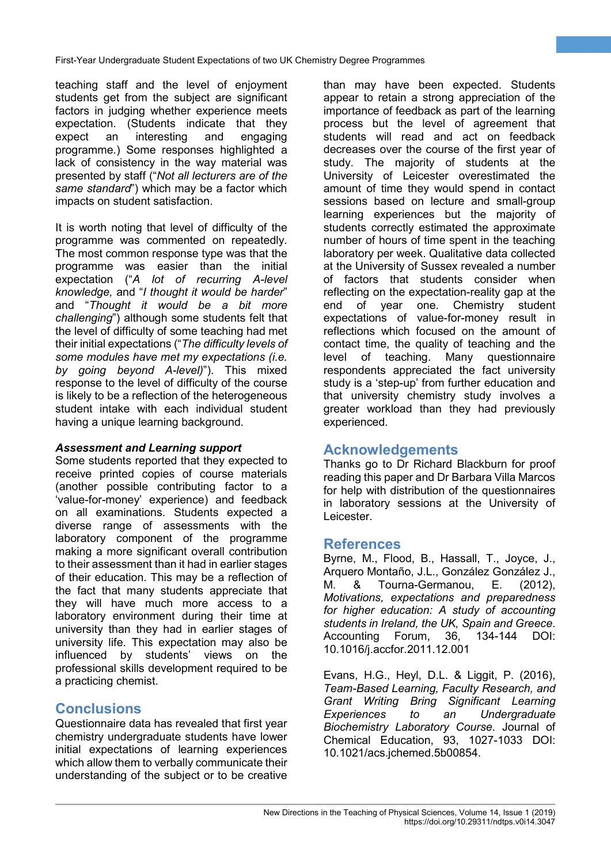teaching staff and the level of enjoyment students get from the subject are significant factors in judging whether experience meets expectation. (Students indicate that they expect an interesting and engaging programme.) Some responses highlighted a lack of consistency in the way material was presented by staff ("*Not all lecturers are of the same standard*") which may be a factor which impacts on student satisfaction.

It is worth noting that level of difficulty of the programme was commented on repeatedly. The most common response type was that the programme was easier than the initial expectation ("*A lot of recurring A-level knowledge,* and "*I thought it would be harder*" and "*Thought it would be a bit more challenging*") although some students felt that the level of difficulty of some teaching had met their initial expectations ("*The difficulty levels of some modules have met my expectations (i.e. by going beyond A-level)*"). This mixed response to the level of difficulty of the course is likely to be a reflection of the heterogeneous student intake with each individual student having a unique learning background.

#### *Assessment and Learning support*

Some students reported that they expected to receive printed copies of course materials (another possible contributing factor to a 'value-for-money' experience) and feedback on all examinations. Students expected a diverse range of assessments with the laboratory component of the programme making a more significant overall contribution to their assessment than it had in earlier stages of their education. This may be a reflection of the fact that many students appreciate that they will have much more access to a laboratory environment during their time at university than they had in earlier stages of university life. This expectation may also be influenced by students' views on the professional skills development required to be a practicing chemist.

# **Conclusions**

Questionnaire data has revealed that first year chemistry undergraduate students have lower initial expectations of learning experiences which allow them to verbally communicate their understanding of the subject or to be creative than may have been expected. Students appear to retain a strong appreciation of the importance of feedback as part of the learning process but the level of agreement that students will read and act on feedback decreases over the course of the first year of study. The majority of students at the University of Leicester overestimated the amount of time they would spend in contact sessions based on lecture and small-group learning experiences but the majority of students correctly estimated the approximate number of hours of time spent in the teaching laboratory per week. Qualitative data collected at the University of Sussex revealed a number of factors that students consider when reflecting on the expectation-reality gap at the end of year one. Chemistry student expectations of value-for-money result in reflections which focused on the amount of contact time, the quality of teaching and the level of teaching. Many questionnaire respondents appreciated the fact university study is a 'step-up' from further education and that university chemistry study involves a greater workload than they had previously experienced.

**9**

# **Acknowledgements**

Thanks go to Dr Richard Blackburn for proof reading this paper and Dr Barbara Villa Marcos for help with distribution of the questionnaires in laboratory sessions at the University of Leicester.

# **References**

Byrne, M., Flood, B., Hassall, T., Joyce, J., Arquero Montaño, J.L., González González J., M. & Tourna-Germanou, E. (2012), *Motivations, expectations and preparedness for higher education: A study of accounting students in Ireland, the UK, Spain and Greece*. Accounting Forum, 36, 10.1016/j.accfor.2011.12.001

Evans, H.G., Heyl, D.L. & Liggit, P. (2016), *Team-Based Learning, Faculty Research, and Grant Writing Bring Significant Learning Experiences to an Undergraduate Biochemistry Laboratory Course*. Journal of Chemical Education, 93, 1027-1033 DOI: 10.1021/acs.jchemed.5b00854.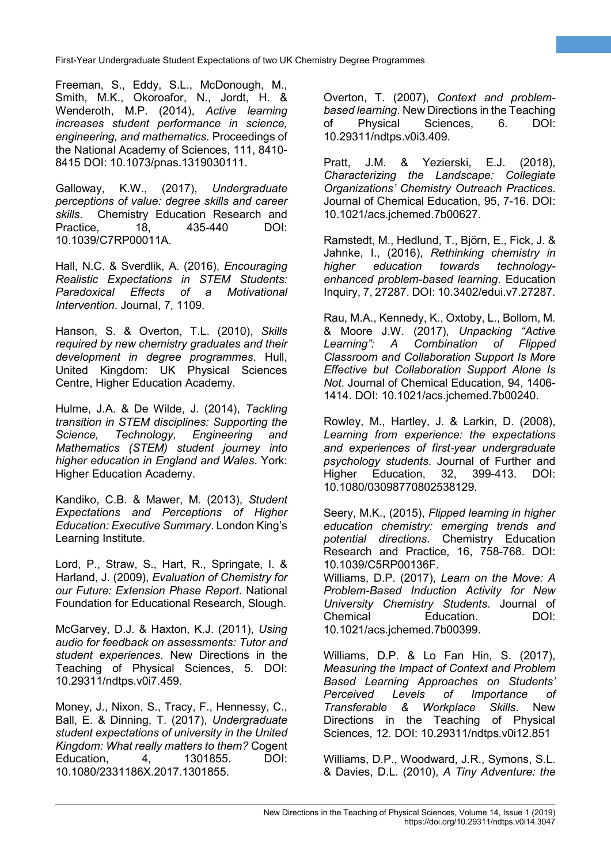Freeman, S., Eddy, S.L., McDonough, M., Smith, M.K., Okoroafor, N., Jordt, H. & Wenderoth, M.P. (2014), *Active learning increases student performance in science, engineering, and mathematics*. Proceedings of the National Academy of Sciences, 111, 8410- 8415 DOI: 10.1073/pnas.1319030111.

Galloway, K.W., (2017), *Undergraduate perceptions of value: degree skills and career skills*. Chemistry Education Research and Practice, 18, 435-440 DOI: 10.1039/C7RP00011A.

Hall, N.C. & Sverdlik, A. (2016), *Encouraging Realistic Expectations in STEM Students: Paragers Effects of a Motivational Intervention*. Journal, 7, 1109.

Hanson, S. & Overton, T.L. (2010), *Skills required by new chemistry graduates and their development in degree programmes*. Hull, United Kingdom: UK Physical Sciences Centre, Higher Education Academy.

Hulme, J.A. & De Wilde, J. (2014), *Tackling transition in STEM disciplines: Supporting the Science, Technology, Engineering and Mathematics (STEM) student journey into higher education in England and Wales*. York: Higher Education Academy.

Kandiko, C.B. & Mawer, M. (2013), *Student Expectations and Perceptions of Higher Education: Executive Summary*. London King's Learning Institute.

Lord, P., Straw, S., Hart, R., Springate, I. & Harland, J. (2009), *Evaluation of Chemistry for our Future: Extension Phase Report*. National Foundation for Educational Research, Slough.

McGarvey, D.J. & Haxton, K.J. (2011), *Using audio for feedback on assessments: Tutor and student experiences*. New Directions in the Teaching of Physical Sciences, 5. DOI: 10.29311/ndtps.v0i7.459.

Money, J., Nixon, S., Tracy, F., Hennessy, C., Ball, E. & Dinning, T. (2017), *Undergraduate student expectations of university in the United Kingdom: What really matters to them?* Cogent Education, 4, 1301855. DOI: 10.1080/2331186X.2017.1301855.

Overton, T. (2007), *Context and problembased learning*. New Directions in the Teaching of Physical Sciences, 6. DOI: 10.29311/ndtps.v0i3.409.

**10**

Pratt, J.M. & Yezierski, E.J. (2018), *Characterizing the Landscape: Collegiate Organizations' Chemistry Outreach Practices*. Journal of Chemical Education, 95, 7-16. DOI: 10.1021/acs.jchemed.7b00627.

Ramstedt, M., Hedlund, T., Björn, E., Fick, J. & Jahnke, I., (2016), *Rethinking chemistry in higher education towards technologyenhanced problem-based learning*. Education Inquiry, 7, 27287. DOI: 10.3402/edui.v7.27287.

Rau, M.A., Kennedy, K., Oxtoby, L., Bollom, M. & Moore J.W. (2017), *Unpacking "Active Learning": A Combination of Flipped Classroom and Collaboration Support Is More Effective but Collaboration Support Alone Is Not*. Journal of Chemical Education, 94, 1406- 1414. DOI: 10.1021/acs.jchemed.7b00240.

Rowley, M., Hartley, J. & Larkin, D. (2008), *Learning from experience: the expectations and experiences of first*‐*year undergraduate psychology students*. Journal of Further and Higher Education, 32, 399-413. DOI: 10.1080/03098770802538129.

Seery, M.K., (2015), *Flipped learning in higher education chemistry: emerging trends and potential directions*. Chemistry Education Research and Practice, 16, 758-768. DOI: 10.1039/C5RP00136F.

Williams, D.P. (2017), *Learn on the Move: A Problem-Based Induction Activity for New University Chemistry Students*. Journal of Chemical Education. DOI: 10.1021/acs.jchemed.7b00399.

Williams, D.P. & Lo Fan Hin, S. (2017), *Measuring the Impact of Context and Problem Based Learning Approaches on Students' Perceived Levels of Importance of Transferable & Workplace Skills*. New Directions in the Teaching of Physical Sciences, 12. DOI: 10.29311/ndtps.v0i12.851

Williams, D.P., Woodward, J.R., Symons, S.L. & Davies, D.L. (2010), *A Tiny Adventure: the*